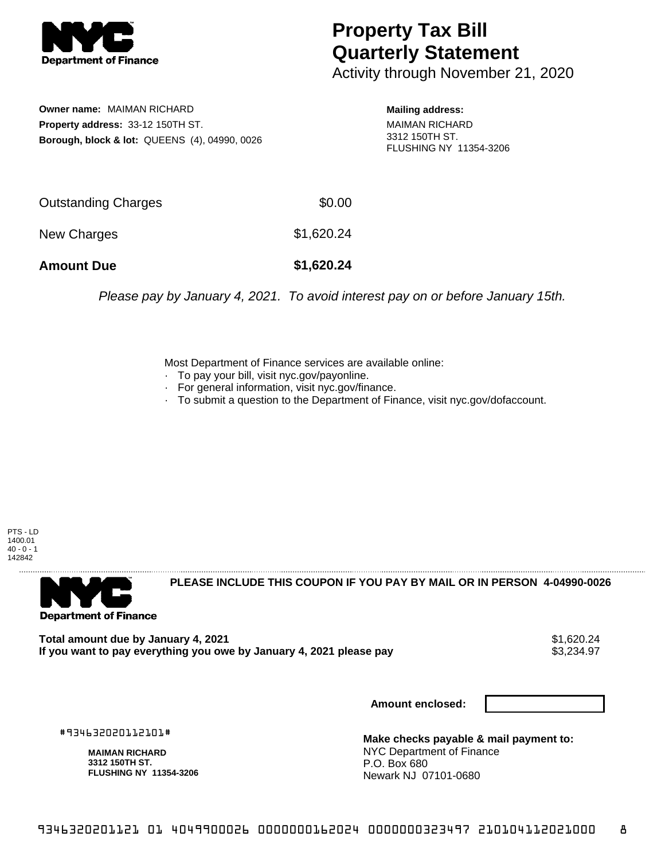

## **Property Tax Bill Quarterly Statement**

Activity through November 21, 2020

**Owner name:** MAIMAN RICHARD **Property address:** 33-12 150TH ST. **Borough, block & lot:** QUEENS (4), 04990, 0026 **Mailing address:**

MAIMAN RICHARD 3312 150TH ST. FLUSHING NY 11354-3206

| <b>Amount Due</b>          | \$1,620.24 |
|----------------------------|------------|
| New Charges                | \$1,620.24 |
| <b>Outstanding Charges</b> | \$0.00     |

Please pay by January 4, 2021. To avoid interest pay on or before January 15th.

Most Department of Finance services are available online:

- · To pay your bill, visit nyc.gov/payonline.
- For general information, visit nyc.gov/finance.
- · To submit a question to the Department of Finance, visit nyc.gov/dofaccount.

PTS - LD 1400.01  $40 - 0 - 1$ 142842



**PLEASE INCLUDE THIS COUPON IF YOU PAY BY MAIL OR IN PERSON 4-04990-0026** 

**Total amount due by January 4, 2021**<br>If you want to pay everything you owe by January 4, 2021 please pay **show that the summer way of the s**3,234.97 If you want to pay everything you owe by January 4, 2021 please pay

**Amount enclosed:**

#934632020112101#

**MAIMAN RICHARD 3312 150TH ST. FLUSHING NY 11354-3206**

**Make checks payable & mail payment to:** NYC Department of Finance P.O. Box 680 Newark NJ 07101-0680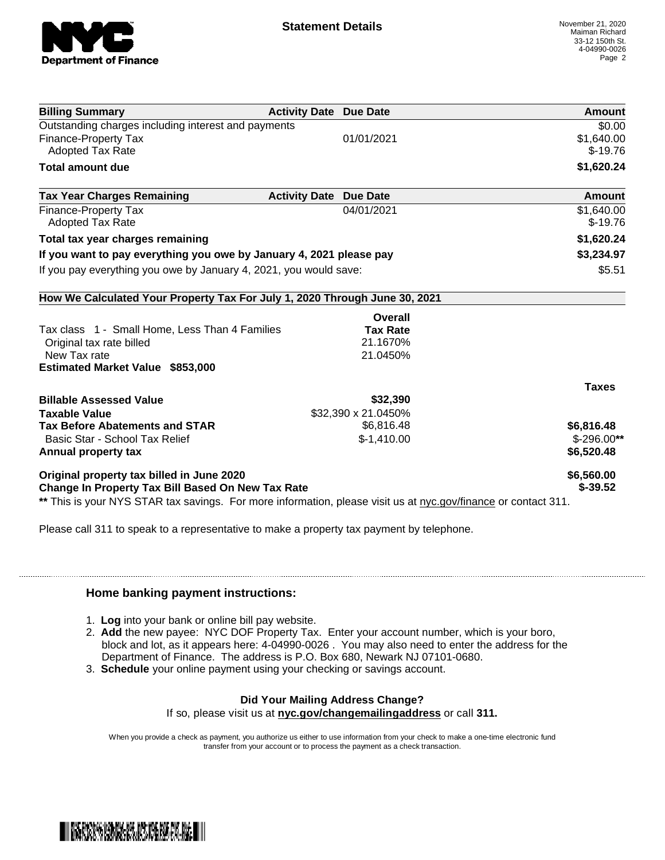

| <b>Billing Summary</b>                                                                                         | <b>Activity Date Due Date</b> | Amount       |
|----------------------------------------------------------------------------------------------------------------|-------------------------------|--------------|
| Outstanding charges including interest and payments                                                            |                               | \$0.00       |
| Finance-Property Tax                                                                                           | 01/01/2021                    | \$1,640.00   |
| <b>Adopted Tax Rate</b>                                                                                        |                               | $$-19.76$    |
| <b>Total amount due</b>                                                                                        |                               | \$1,620.24   |
| <b>Tax Year Charges Remaining</b>                                                                              | <b>Activity Date Due Date</b> | Amount       |
| <b>Finance-Property Tax</b>                                                                                    | 04/01/2021                    | \$1,640.00   |
| Adopted Tax Rate                                                                                               |                               | $$-19.76$    |
| Total tax year charges remaining                                                                               |                               | \$1,620.24   |
| If you want to pay everything you owe by January 4, 2021 please pay                                            |                               | \$3,234.97   |
| If you pay everything you owe by January 4, 2021, you would save:                                              |                               | \$5.51       |
| How We Calculated Your Property Tax For July 1, 2020 Through June 30, 2021                                     |                               |              |
|                                                                                                                | <b>Overall</b>                |              |
| Tax class 1 - Small Home, Less Than 4 Families                                                                 | <b>Tax Rate</b>               |              |
| Original tax rate billed                                                                                       | 21.1670%                      |              |
| New Tax rate                                                                                                   | 21.0450%                      |              |
| <b>Estimated Market Value \$853,000</b>                                                                        |                               |              |
|                                                                                                                |                               | <b>Taxes</b> |
| <b>Billable Assessed Value</b>                                                                                 | \$32,390                      |              |
| <b>Taxable Value</b>                                                                                           | \$32,390 x 21.0450%           |              |
| <b>Tax Before Abatements and STAR</b>                                                                          | \$6,816.48                    | \$6,816.48   |
| Basic Star - School Tax Relief                                                                                 | $$-1,410.00$                  | $$-296.00**$ |
| Annual property tax                                                                                            |                               | \$6,520.48   |
| Original property tax billed in June 2020                                                                      |                               | \$6,560.00   |
| Change In Property Tax Bill Based On New Tax Rate                                                              |                               | $$-39.52$    |
| ** This is your NYS STAR tax savings. For more information, please visit us at nyc.gov/finance or contact 311. |                               |              |

Please call 311 to speak to a representative to make a property tax payment by telephone.

## **Home banking payment instructions:**

- 1. **Log** into your bank or online bill pay website.
- 2. **Add** the new payee: NYC DOF Property Tax. Enter your account number, which is your boro, block and lot, as it appears here: 4-04990-0026 . You may also need to enter the address for the Department of Finance. The address is P.O. Box 680, Newark NJ 07101-0680.
- 3. **Schedule** your online payment using your checking or savings account.

## **Did Your Mailing Address Change?**

If so, please visit us at **nyc.gov/changemailingaddress** or call **311.**

When you provide a check as payment, you authorize us either to use information from your check to make a one-time electronic fund transfer from your account or to process the payment as a check transaction.